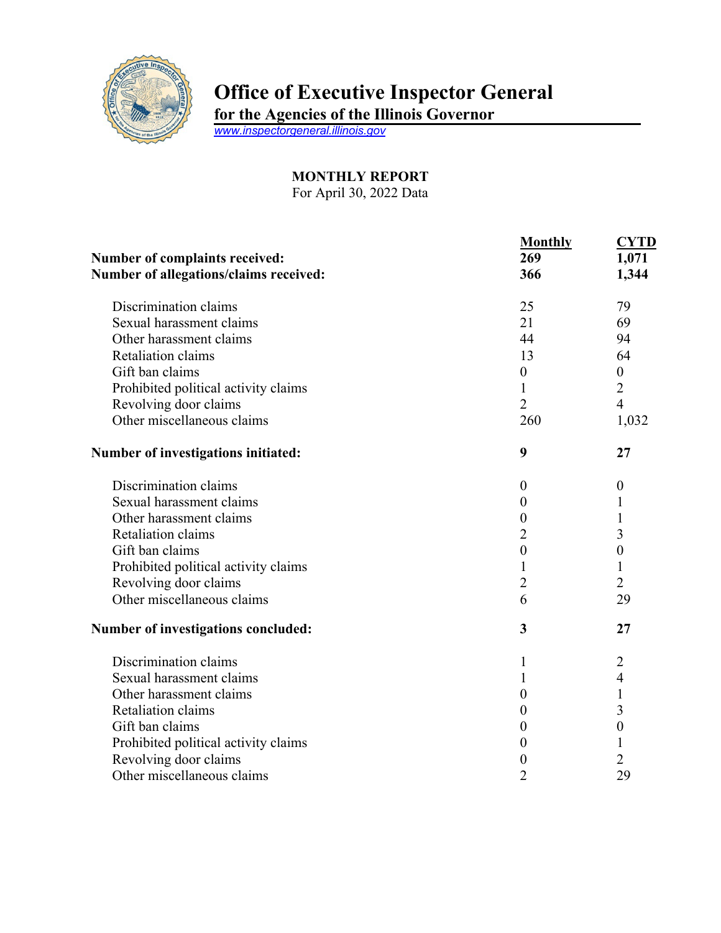

## **Office of Executive Inspector General**

**for the Agencies of the Illinois Governor**

*[www.inspectorgeneral.illinois.gov](http://www.inspectorgeneral.illinois.gov/)*

## **MONTHLY REPORT**

For April 30, 2022 Data

|                                        | <b>Monthly</b>   | <b>CYTD</b>      |
|----------------------------------------|------------------|------------------|
| Number of complaints received:         | 269<br>366       | 1,071<br>1,344   |
| Number of allegations/claims received: |                  |                  |
| Discrimination claims                  | 25               | 79               |
| Sexual harassment claims               | 21               | 69               |
| Other harassment claims                | 44               | 94               |
| Retaliation claims                     | 13               | 64               |
| Gift ban claims                        | $\boldsymbol{0}$ | $\boldsymbol{0}$ |
| Prohibited political activity claims   | $\mathbf{1}$     | $\overline{2}$   |
| Revolving door claims                  | $\overline{2}$   | $\overline{4}$   |
| Other miscellaneous claims             | 260              | 1,032            |
| Number of investigations initiated:    | 9                | 27               |
| Discrimination claims                  | $\boldsymbol{0}$ | $\boldsymbol{0}$ |
| Sexual harassment claims               | $\boldsymbol{0}$ | 1                |
| Other harassment claims                | $\boldsymbol{0}$ | $\mathbf{1}$     |
| <b>Retaliation claims</b>              | $\overline{2}$   | 3                |
| Gift ban claims                        | $\boldsymbol{0}$ | $\boldsymbol{0}$ |
| Prohibited political activity claims   | $\mathbf{1}$     | $\mathbf{1}$     |
| Revolving door claims                  | $\overline{2}$   | $\overline{2}$   |
| Other miscellaneous claims             | 6                | 29               |
| Number of investigations concluded:    | 3                | 27               |
| Discrimination claims                  | 1                | $\overline{2}$   |
| Sexual harassment claims               | 1                | $\overline{4}$   |
| Other harassment claims                | $\boldsymbol{0}$ | $\mathbf{1}$     |
| Retaliation claims                     | $\boldsymbol{0}$ | 3                |
| Gift ban claims                        | $\boldsymbol{0}$ | $\boldsymbol{0}$ |
| Prohibited political activity claims   | 0                | 1                |
| Revolving door claims                  | 0                | $\overline{2}$   |
| Other miscellaneous claims             | $\overline{2}$   | 29               |